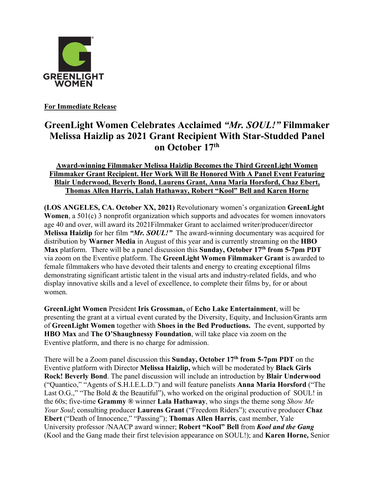

**For Immediate Release**

## **GreenLight Women Celebrates Acclaimed** *"Mr. SOUL!"* **Filmmaker Melissa Haizlip as 2021 Grant Recipient With Star-Studded Panel on October 17th**

## **Award-winning Filmmaker Melissa Haizlip Becomes the Third GreenLight Women Filmmaker Grant Recipient. Her Work Will Be Honored With A Panel Event Featuring Blair Underwood, Beverly Bond, Laurens Grant, Anna Maria Horsford, Chaz Ebert, Thomas Allen Harris, Lalah Hathaway, Robert "Kool" Bell and Karen Horne**

**(LOS ANGELES, CA. October XX, 2021)** Revolutionary women's organization **GreenLight Women**, a 501(c) 3 nonprofit organization which supports and advocates for women innovators age 40 and over, will award its 2021Filmmaker Grant to acclaimed writer/producer/director **Melissa Haizlip** for her film *"Mr. SOUL!"* The award-winning documentary was acquired for distribution by **Warner Media** in August of this year and is currently streaming on the **HBO Max** platform. There will be a panel discussion this **Sunday, October 17th from 5-7pm PDT** via zoom on the Eventive platform. The **GreenLight Women Filmmaker Grant** is awarded to female filmmakers who have devoted their talents and energy to creating exceptional films demonstrating significant artistic talent in the visual arts and industry-related fields, and who display innovative skills and a level of excellence, to complete their films by, for or about women.

**GreenLight Women** President **Iris Grossman,** of **Echo Lake Entertainment**, will be presenting the grant at a virtual event curated by the Diversity, Equity, and Inclusion/Grants arm of **GreenLight Women** together with **Shoes in the Bed Productions.** The event, supported by **HBO Max** and **The O'Shaughnessy Foundation**, will take place via zoom on the Eventive platform, and there is no charge for admission.

There will be a Zoom panel discussion this **Sunday, October 17th from 5-7pm PDT** on the Eventive platform with Director **Melissa Haizlip,** which will be moderated by **Black Girls Rock! Beverly Bond**. The panel discussion will include an introduction by **Blair Underwood** ("Quantico," "Agents of S.H.I.E.L.D.") and will feature panelists **Anna Maria Horsford** ("The Last O.G.," "The Bold & the Beautiful"), who worked on the original production of SOUL! in the 60s; five-time **Grammy ®** winner **Lala Hathaway**, who sings the theme song *Show Me Your Soul*; consulting producer **Laurens Grant** ("Freedom Riders"); executive producer **Chaz Ebert** ("Death of Innocence," "Passing"); **Thomas Allen Harris**, cast member, Yale University professor /NAACP award winner; **Robert "Kool" Bell** from *Kool and the Gang*  (Kool and the Gang made their first television appearance on SOUL!); and **Karen Horne,** Senior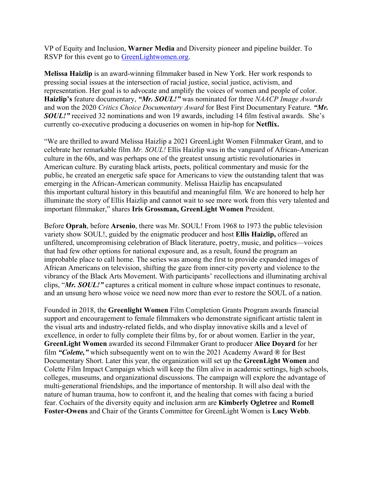VP of Equity and Inclusion, **Warner Media** and Diversity pioneer and pipeline builder. To RSVP for this event go to **GreenLightwomen.org**.

**Melissa Haizlip** is an award-winning filmmaker based in New York. Her work responds to pressing social issues at the intersection of racial justice, social justice, activism, and representation. Her goal is to advocate and amplify the voices of women and people of color. **Haizlip's** feature documentary, *"Mr. SOUL!"* was nominated for three *NAACP Image Awards* and won the 2020 *Critics Choice Documentary Award* for Best First Documentary Feature. *"Mr. SOUL!"* received 32 nominations and won 19 awards, including 14 film festival awards. She's currently co-executive producing a docuseries on women in hip-hop for **Netflix.**

"We are thrilled to award Melissa Haizlip a 2021 GreenLight Women Filmmaker Grant, and to celebrate her remarkable film *Mr. SOUL!* Ellis Haizlip was in the vanguard of African-American culture in the 60s, and was perhaps one of the greatest unsung artistic revolutionaries in American culture. By curating black artists, poets, political commentary and music for the public, he created an energetic safe space for Americans to view the outstanding talent that was emerging in the African-American community. Melissa Haizlip has encapsulated this important cultural history in this beautiful and meaningful film. We are honored to help her illuminate the story of Ellis Haizlip and cannot wait to see more work from this very talented and important filmmaker," shares **Iris Grossman, GreenLight Women** President.

Before **Oprah**, before **Arsenio**, there was Mr. SOUL! From 1968 to 1973 the public television variety show SOUL!, guided by the enigmatic producer and host **Ellis Haizlip,** offered an unfiltered, uncompromising celebration of Black literature, poetry, music, and politics—voices that had few other options for national exposure and, as a result, found the program an improbable place to call home. The series was among the first to provide expanded images of African Americans on television, shifting the gaze from inner-city poverty and violence to the vibrancy of the Black Arts Movement. With participants' recollections and illuminating archival clips, "*Mr. SOUL!"* captures a critical moment in culture whose impact continues to resonate, and an unsung hero whose voice we need now more than ever to restore the SOUL of a nation.

Founded in 2018, the **Greenlight Women** Film Completion Grants Program awards financial support and encouragement to female filmmakers who demonstrate significant artistic talent in the visual arts and industry-related fields, and who display innovative skills and a level of excellence, in order to fully complete their films by, for or about women. Earlier in the year, **GreenLight Women** awarded its second Filmmaker Grant to producer **Alice Doyard** for her film *"Colette,"* which subsequently went on to win the 2021 Academy Award **®** for Best Documentary Short. Later this year, the organization will set up the **GreenLight Women** and Colette Film Impact Campaign which will keep the film alive in academic settings, high schools, colleges, museums, and organizational discussions. The campaign will explore the advantage of multi-generational friendships, and the importance of mentorship. It will also deal with the nature of human trauma, how to confront it, and the healing that comes with facing a buried fear. Cochairs of the diversity equity and inclusion arm are **Kimberly Ogletree** and **Romell Foster-Owens** and Chair of the Grants Committee for GreenLight Women is **Lucy Webb**.